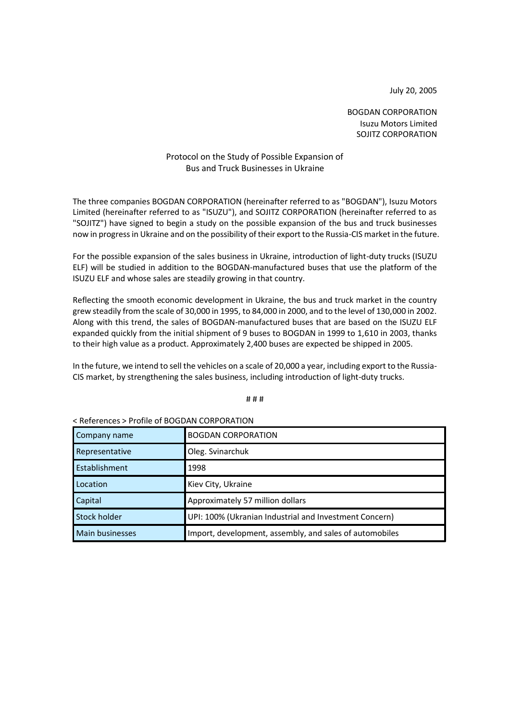July 20, 2005

BOGDAN CORPORATION Isuzu Motors Limited SOJITZ CORPORATION

## Protocol on the Study of Possible Expansion of Bus and Truck Businesses in Ukraine

The three companies BOGDAN CORPORATION (hereinafter referred to as "BOGDAN"), Isuzu Motors Limited (hereinafter referred to as "ISUZU"), and SOJITZ CORPORATION (hereinafter referred to as "SOJITZ") have signed to begin a study on the possible expansion of the bus and truck businesses now in progress in Ukraine and on the possibility of their export to the Russia-CIS market in the future.

For the possible expansion of the sales business in Ukraine, introduction of light-duty trucks (ISUZU ELF) will be studied in addition to the BOGDAN-manufactured buses that use the platform of the ISUZU ELF and whose sales are steadily growing in that country.

Reflecting the smooth economic development in Ukraine, the bus and truck market in the country grew steadily from the scale of 30,000 in 1995, to 84,000 in 2000, and to the level of 130,000 in 2002. Along with this trend, the sales of BOGDAN-manufactured buses that are based on the ISUZU ELF expanded quickly from the initial shipment of 9 buses to BOGDAN in 1999 to 1,610 in 2003, thanks to their high value as a product. Approximately 2,400 buses are expected be shipped in 2005.

In the future, we intend to sell the vehicles on a scale of 20,000 a year, including export to the Russia-CIS market, by strengthening the sales business, including introduction of light-duty trucks.

# # #

| S REIEIEILES Z FIUIIIE UI DUGDAN CORFORATION |                                                         |
|----------------------------------------------|---------------------------------------------------------|
| Company name                                 | <b>BOGDAN CORPORATION</b>                               |
| Representative                               | Oleg. Svinarchuk                                        |
| Establishment                                | 1998                                                    |
| Location                                     | Kiev City, Ukraine                                      |
| Capital                                      | Approximately 57 million dollars                        |
| Stock holder                                 | UPI: 100% (Ukranian Industrial and Investment Concern)  |
| Main businesses                              | Import, development, assembly, and sales of automobiles |

< References > Profile of BOGDAN CORPORATION